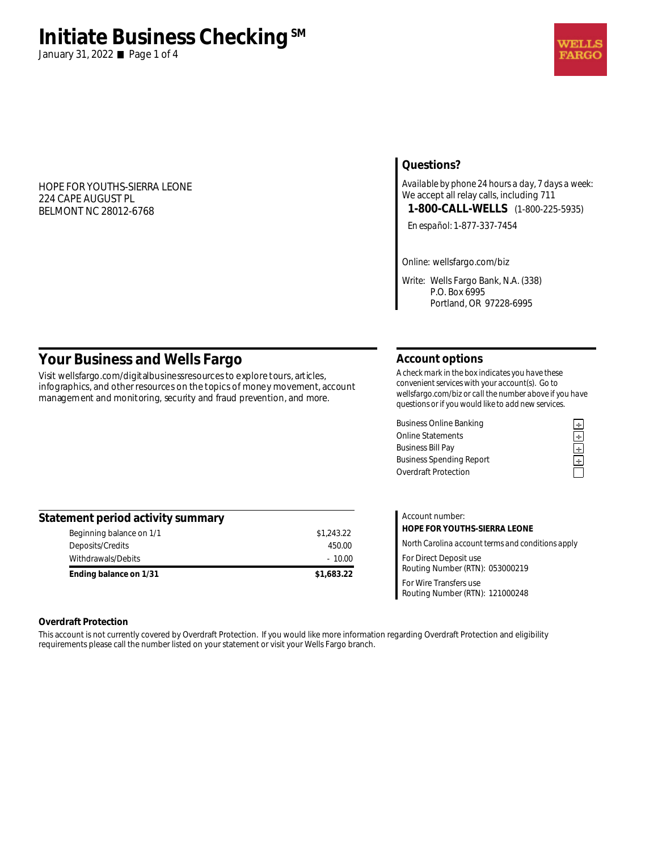# **Initiate Business Checking**<sup>SM</sup>

January 31, 2022 **Page 1 of 4** 

#### HOPE FOR YOUTHS-SIERRA LEONE 224 CAPE AUGUST PL BELMONT NC 28012-6768

# **Questions?**

*Available by phone 24 hours a day, 7 days a week:*  We accept all relay calls, including 711 **1-800-CALL-WELLS** (1-800-225-5935)

*En español:* 1-877-337-7454

*Online:* wellsfargo.com/biz

*Write:* Wells Fargo Bank, N.A. (338) P.O. Box 6995 Portland, OR 97228-6995

# **Your Business and Wells Fargo**

Visit wellsfargo.com/digitalbusinessresources to explore tours, articles, infographics, and other resources on the topics of money movement, account management and monitoring, security and fraud prevention, and more.

#### **Account options**

*A check mark in the box indicates you have these convenient services with your account(s). Go to wellsfargo.com/biz or call the number above if you have questions or if you would like to add new services.* 

Business Online Banking<br>
Online Statements<br>
Business Bill Pay<br> **Example 2**<br>
Business Spending Report<br> **Example 2**<br> **Example 2**<br> **Example 2**<br> **Example 2**<br> **Example 2**<br> **Example 2** Online Statements **÷ Business Bill Pay Business Spending Report** Overdraft Protection

| Statement period activity summary |            |
|-----------------------------------|------------|
| Beginning balance on 1/1          | \$1,243.22 |
| Deposits/Credits                  | 450.00     |
| Withdrawals/Debits                | $-10.00$   |
| Ending balance on 1/31            | \$1,683.22 |

| Account number:                                           |
|-----------------------------------------------------------|
| HOPE FOR YOUTHS-SIERRA LEONE                              |
| North Carolina account terms and conditions apply         |
| For Direct Deposit use<br>Routing Number (RTN): 053000219 |
| For Wire Transfers use<br>Routing Number (RTN): 121000248 |

#### **Overdraft Protection**

This account is not currently covered by Overdraft Protection. If you would like more information regarding Overdraft Protection and eligibility requirements please call the number listed on your statement or visit your Wells Fargo branch.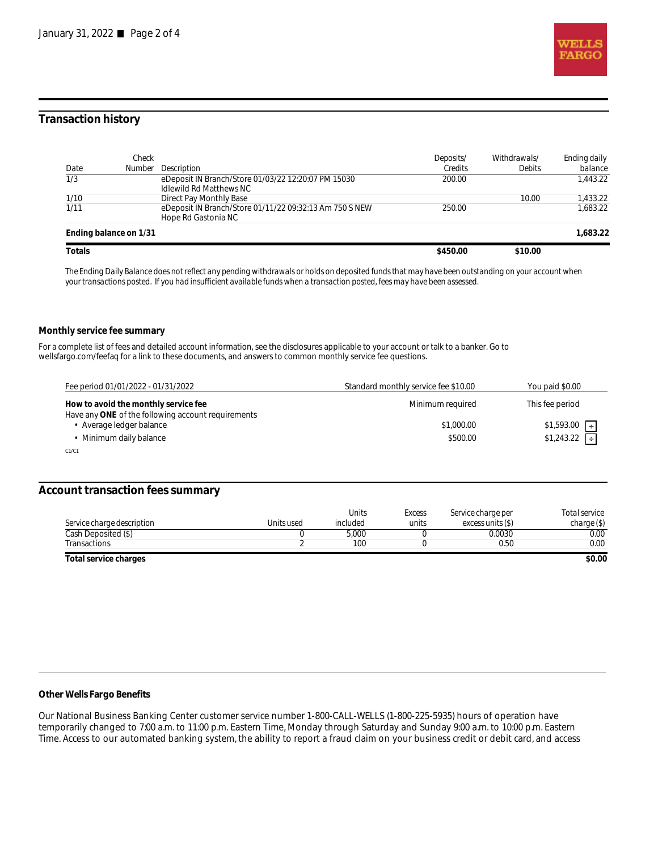

## **Transaction history**

| Date             | Check<br>Number        | <b>Description</b>                                                                    | Deposits/<br>Credits | Withdrawals/<br><b>Debits</b> | Ending daily<br>balance |
|------------------|------------------------|---------------------------------------------------------------------------------------|----------------------|-------------------------------|-------------------------|
| $\overline{1/3}$ |                        | eDeposit IN Branch/Store 01/03/22 12:20:07 PM 15030<br><b>Idlewild Rd Matthews NC</b> | 200.00               |                               | 1.443.22                |
| 1/10             |                        | Direct Pay Monthly Base                                                               |                      | 10.00                         | 1.433.22                |
| 1/11             |                        | eDeposit IN Branch/Store 01/11/22 09:32:13 Am 750 S NEW<br>Hope Rd Gastonia NC        | 250.00               |                               | 1.683.22                |
|                  | Ending balance on 1/31 |                                                                                       |                      |                               | 1.683.22                |
| Totals           |                        |                                                                                       | \$450.00             | \$10.00                       |                         |

*The Ending Daily Balance does not reflect any pending withdrawals or holds on deposited funds that may have been outstanding on your account when your transactions posted. If you had insufficient available funds when a transaction posted, fees may have been assessed.* 

#### **Monthly service fee summary**

For a complete list of fees and detailed account information, see the disclosures applicable to your account or talk to a banker. Go to wellsfargo.com/feefaq for a link to these documents, and answers to common monthly service fee questions.

| Fee period 01/01/2022 - 01/31/2022                                                         | Standard monthly service fee \$10.00 | You paid \$0.00           |
|--------------------------------------------------------------------------------------------|--------------------------------------|---------------------------|
| How to avoid the monthly service fee<br>Have any ONE of the following account requirements | Minimum required                     | This fee period           |
| Average ledger balance                                                                     | \$1,000.00                           | $$1,593.00$ $\rightarrow$ |
| Minimum daily balance                                                                      | \$500.00                             | $$1,243.22$ $\Box$        |
| C1/C1                                                                                      |                                      |                           |

#### **Account transaction fees summary**

|                            |            | <b>Units</b> | <b>Excess</b> | Service charge per | Total service |
|----------------------------|------------|--------------|---------------|--------------------|---------------|
| Service charge description | Units used | included     | units         | excess units (\$)  | charge(S)     |
| Cash Deposited (\$)        |            | 5,000        |               | 0.0030             | 0.00          |
| Transactions               |            | 100          |               | 0.50               | 0.00          |
| Total service charges      |            |              |               |                    | \$0.00        |

**Other Wells Fargo Benefits**

Our National Business Banking Center customer service number 1-800-CALL-WELLS (1-800-225-5935) hours of operation have temporarily changed to 7:00 a.m. to 11:00 p.m. Eastern Time, Monday through Saturday and Sunday 9:00 a.m. to 10:00 p.m. Eastern Time. Access to our automated banking system, the ability to report a fraud claim on your business credit or debit card, and access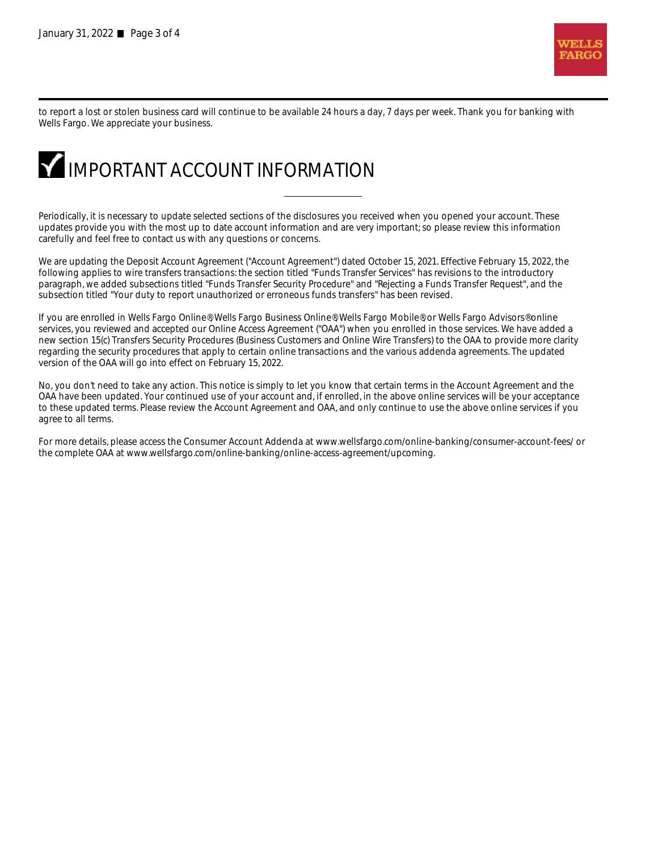

to report a lost or stolen business card will continue to be available 24 hours a day, 7 days per week. Thank you for banking with Wells Fargo. We appreciate your business.



Periodically, it is necessary to update selected sections of the disclosures you received when you opened your account. These updates provide you with the most up to date account information and are very important; so please review this information carefully and feel free to contact us with any questions or concerns.

We are updating the Deposit Account Agreement ("Account Agreement") dated October 15, 2021. Effective February 15, 2022, the following applies to wire transfers transactions: the section titled "Funds Transfer Services" has revisions to the introductory paragraph, we added subsections titled "Funds Transfer Security Procedure" and "Rejecting a Funds Transfer Request", and the subsection titled "Your duty to report unauthorized or erroneous funds transfers" has been revised.

If you are enrolled in Wells Fargo Online®, Wells Fargo Business Online®, Wells Fargo Mobile®, or Wells Fargo Advisors® online services, you reviewed and accepted our Online Access Agreement ("OAA") when you enrolled in those services. We have added a new section 15(c) Transfers Security Procedures (Business Customers and Online Wire Transfers) to the OAA to provide more clarity regarding the security procedures that apply to certain online transactions and the various addenda agreements. The updated version of the OAA will go into effect on February 15, 2022.

No, you don't need to take any action. This notice is simply to let you know that certain terms in the Account Agreement and the OAA have been updated. Your continued use of your account and, if enrolled, in the above online services will be your acceptance to these updated terms. Please review the Account Agreement and OAA, and only continue to use the above online services if you agree to all terms.

For more details, please access the Consumer Account Addenda at www.wellsfargo.com/online-banking/consumer-account-fees/ or the complete OAA at www.wellsfargo.com/online-banking/online-access-agreement/upcoming.